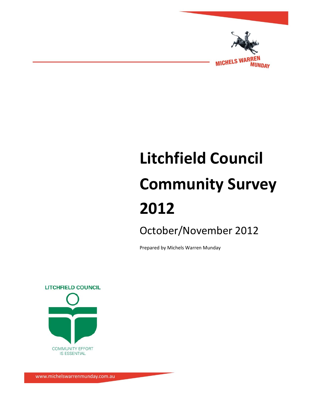

# **Litchfield Council Community Survey 2012**

October/November 2012

Prepared by Michels Warren Munday

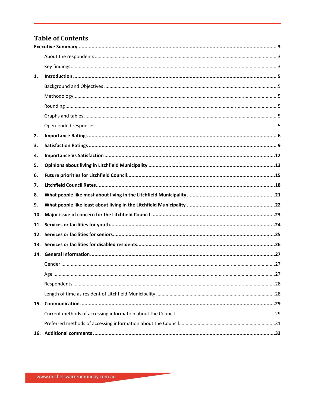## **Table of Contents**

| 1.  |  |
|-----|--|
|     |  |
|     |  |
|     |  |
|     |  |
|     |  |
| 2.  |  |
| 3.  |  |
| 4.  |  |
| 5.  |  |
| 6.  |  |
| 7.  |  |
|     |  |
| 8.  |  |
| 9.  |  |
| 10. |  |
| 11. |  |
| 12. |  |
|     |  |
|     |  |
|     |  |
|     |  |
|     |  |
|     |  |
|     |  |
|     |  |
|     |  |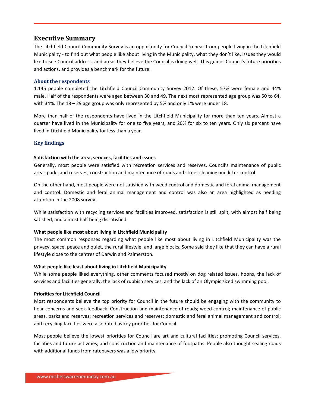## **Executive Summary**

The Litchfield Council Community Survey is an opportunity for Council to hear from people living in the Litchfield Municipality - to find out what people like about living in the Municipality, what they don't like, issues they would like to see Council address, and areas they believe the Council is doing well. This guides Council's future priorities and actions, and provides a benchmark for the future.

#### **About the respondents**

1,145 people completed the Litchfield Council Community Survey 2012. Of these, 57% were female and 44% male. Half of the respondents were aged between 30 and 49. The next most represented age group was 50 to 64, with 34%. The 18 – 29 age group was only represented by 5% and only 1% were under 18.

More than half of the respondents have lived in the Litchfield Municipality for more than ten years. Almost a quarter have lived in the Municipality for one to five years, and 20% for six to ten years. Only six percent have lived in Litchfield Municipality for less than a year.

#### **Key findings**

#### **Satisfaction with the area, services, facilities and issues**

Generally, most people were satisfied with recreation services and reserves, Council's maintenance of public areas parks and reserves, construction and maintenance of roads and street cleaning and litter control.

On the other hand, most people were not satisfied with weed control and domestic and feral animal management and control. Domestic and feral animal management and control was also an area highlighted as needing attention in the 2008 survey.

While satisfaction with recycling services and facilities improved, satisfaction is still split, with almost half being satisfied, and almost half being dissatisfied.

#### **What people like most about living in Litchfield Municipality**

The most common responses regarding what people like most about living in Litchfield Municipality was the privacy, space, peace and quiet, the rural lifestyle, and large blocks. Some said they like that they can have a rural lifestyle close to the centres of Darwin and Palmerston.

#### **What people like least about living in Litchfield Municipality**

While some people liked everything, other comments focused mostly on dog related issues, hoons, the lack of services and facilities generally, the lack of rubbish services, and the lack of an Olympic sized swimming pool.

#### **Priorities for Litchfield Council**

Most respondents believe the top priority for Council in the future should be engaging with the community to hear concerns and seek feedback. Construction and maintenance of roads; weed control; maintenance of public areas, parks and reserves; recreation services and reserves; domestic and feral animal management and control; and recycling facilities were also rated as key priorities for Council.

Most people believe the lowest priorities for Council are art and cultural facilities; promoting Council services, facilities and future activities; and construction and maintenance of footpaths. People also thought sealing roads with additional funds from ratepayers was a low priority.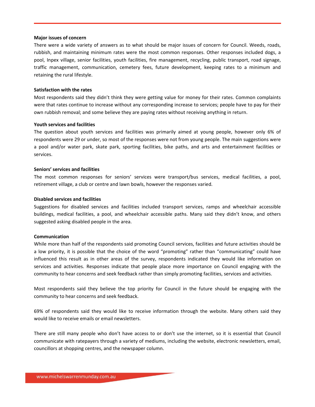#### **Major issues of concern**

There were a wide variety of answers as to what should be major issues of concern for Council. Weeds, roads, rubbish, and maintaining minimum rates were the most common responses. Other responses included dogs, a pool, Inpex village, senior facilities, youth facilities, fire management, recycling, public transport, road signage, traffic management, communication, cemetery fees, future development, keeping rates to a minimum and retaining the rural lifestyle.

#### **Satisfaction with the rates**

Most respondents said they didn't think they were getting value for money for their rates. Common complaints were that rates continue to increase without any corresponding increase to services; people have to pay for their own rubbish removal; and some believe they are paying rates without receiving anything in return.

#### **Youth services and facilities**

The question about youth services and facilities was primarily aimed at young people, however only 6% of respondents were 29 or under, so most of the responses were not from young people. The main suggestions were a pool and/or water park, skate park, sporting facilities, bike paths, and arts and entertainment facilities or services.

#### **Seniors' services and facilities**

The most common responses for seniors' services were transport/bus services, medical facilities, a pool, retirement village, a club or centre and lawn bowls, however the responses varied.

#### **Disabled services and facilities**

Suggestions for disabled services and facilities included transport services, ramps and wheelchair accessible buildings, medical facilities, a pool, and wheelchair accessible paths. Many said they didn't know, and others suggested asking disabled people in the area.

#### **Communication**

While more than half of the respondents said promoting Council services, facilities and future activities should be a low priority, it is possible that the choice of the word "promoting" rather than "communicating" could have influenced this result as in other areas of the survey, respondents indicated they would like information on services and activities. Responses indicate that people place more importance on Council engaging with the community to hear concerns and seek feedback rather than simply promoting facilities, services and activities.

Most respondents said they believe the top priority for Council in the future should be engaging with the community to hear concerns and seek feedback.

69% of respondents said they would like to receive information through the website. Many others said they would like to receive emails or email newsletters.

There are still many people who don't have access to or don't use the internet, so it is essential that Council communicate with ratepayers through a variety of mediums, including the website, electronic newsletters, email, councillors at shopping centres, and the newspaper column.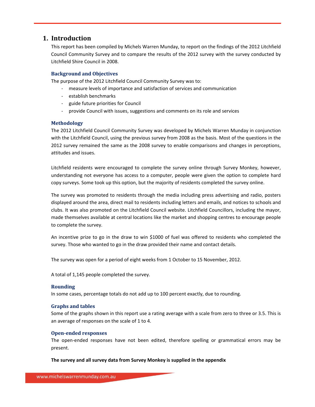## **1. Introduction**

This report has been compiled by Michels Warren Munday, to report on the findings of the 2012 Litchfield Council Community Survey and to compare the results of the 2012 survey with the survey conducted by Litchfield Shire Council in 2008.

#### **Background and Objectives**

The purpose of the 2012 Litchfield Council Community Survey was to:

- ‐ measure levels of importance and satisfaction of services and communication
- ‐ establish benchmarks
- ‐ guide future priorities for Council
- ‐ provide Council with issues, suggestions and comments on its role and services

#### **Methodology**

The 2012 Litchfield Council Community Survey was developed by Michels Warren Munday in conjunction with the Litchfield Council, using the previous survey from 2008 as the basis. Most of the questions in the 2012 survey remained the same as the 2008 survey to enable comparisons and changes in perceptions, attitudes and issues.

Litchfield residents were encouraged to complete the survey online through Survey Monkey, however, understanding not everyone has access to a computer, people were given the option to complete hard copy surveys. Some took up this option, but the majority of residents completed the survey online.

The survey was promoted to residents through the media including press advertising and radio, posters displayed around the area, direct mail to residents including letters and emails, and notices to schools and clubs. It was also promoted on the Litchfield Council website. Litchfield Councillors, including the mayor, made themselves available at central locations like the market and shopping centres to encourage people to complete the survey.

An incentive prize to go in the draw to win \$1000 of fuel was offered to residents who completed the survey. Those who wanted to go in the draw provided their name and contact details.

The survey was open for a period of eight weeks from 1 October to 15 November, 2012.

A total of 1,145 people completed the survey.

#### **Rounding**

In some cases, percentage totals do not add up to 100 percent exactly, due to rounding.

#### **Graphs and tables**

Some of the graphs shown in this report use a rating average with a scale from zero to three or 3.5. This is an average of responses on the scale of 1 to 4.

#### **Openended responses**

The open-ended responses have not been edited, therefore spelling or grammatical errors may be present.

#### **The survey and all survey data from Survey Monkey is supplied in the appendix**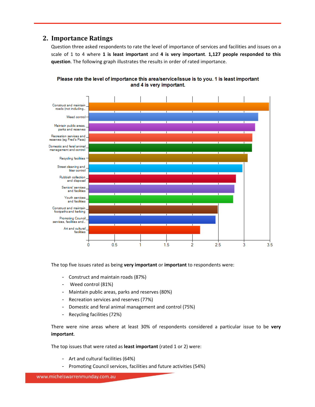## **2. Importance Ratings**

Question three asked respondents to rate the level of importance of services and facilities and issues on a scale of 1 to 4 where **1 is least important** and **4 is very important**. **1,127 people responded to this question**. The following graph illustrates the results in order of rated importance.





The top five issues rated as being **very important** or **important** to respondents were:

- Construct and maintain roads (87%)
- Weed control (81%)
- Maintain public areas, parks and reserves (80%)
- Recreation services and reserves (77%)
- Domestic and feral animal management and control (75%)
- Recycling facilities (72%)

There were nine areas where at least 30% of respondents considered a particular issue to be **very important**.

The top issues that were rated as **least important** (rated 1 or 2) were:

- Art and cultural facilities (64%)
- Promoting Council services, facilities and future activities (54%)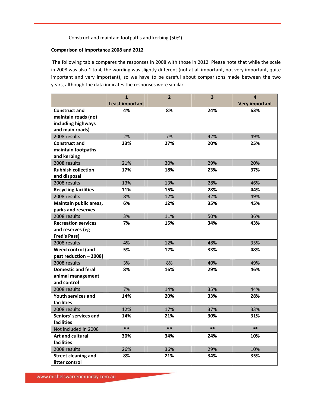- Construct and maintain footpaths and kerbing (50%)

#### **Comparison of importance 2008 and 2012**

The following table compares the responses in 2008 with those in 2012. Please note that while the scale in 2008 was also 1 to 4, the wording was slightly different (not at all important, not very important, quite important and very important), so we have to be careful about comparisons made between the two years, although the data indicates the responses were similar.

|                                     | $\mathbf{1}$<br>Least important | $\overline{2}$ | 3     | 4<br><b>Very important</b> |
|-------------------------------------|---------------------------------|----------------|-------|----------------------------|
| <b>Construct and</b>                | 4%                              | 8%             | 24%   | 63%                        |
| maintain roads (not                 |                                 |                |       |                            |
| including highways                  |                                 |                |       |                            |
| and main roads)                     |                                 |                |       |                            |
| 2008 results                        | 2%                              | 7%             | 42%   | 49%                        |
| <b>Construct and</b>                | 23%                             | 27%            | 20%   | 25%                        |
| maintain footpaths                  |                                 |                |       |                            |
| and kerbing                         |                                 |                |       |                            |
| 2008 results                        | 21%                             | 30%            | 29%   | 20%                        |
| <b>Rubbish collection</b>           | 17%                             | 18%            | 23%   | 37%                        |
| and disposal                        |                                 |                |       |                            |
| 2008 results                        | 13%                             | 13%            | 28%   | 46%                        |
| <b>Recycling facilities</b>         | 11%                             | 15%            | 28%   | 44%                        |
| 2008 results                        | 8%                              | 12%            | 32%   | 49%                        |
| Maintain public areas,              | 6%                              | 12%            | 35%   | 45%                        |
| parks and reserves                  |                                 |                |       |                            |
| 2008 results                        | 3%                              | 11%            | 50%   | 36%                        |
| <b>Recreation services</b>          | 7%                              | 15%            | 34%   | 43%                        |
| and reserves (eg                    |                                 |                |       |                            |
| <b>Fred's Pass)</b>                 |                                 |                |       |                            |
| 2008 results                        | 4%                              | 12%            | 48%   | 35%                        |
| <b>Weed control (and</b>            | 5%                              | 12%            | 33%   | 48%                        |
| pest reduction - 2008)              |                                 |                |       |                            |
| 2008 results                        | 3%                              | 8%             | 40%   | 49%                        |
| <b>Domestic and feral</b>           | 8%                              | 16%            | 29%   | 46%                        |
| animal management                   |                                 |                |       |                            |
| and control                         |                                 |                |       |                            |
| 2008 results                        | 7%                              | 14%            | 35%   | 44%                        |
| Youth services and                  | 14%                             | 20%            | 33%   | 28%                        |
| facilities                          |                                 |                |       |                            |
| 2008 results                        | 12%                             | 17%            | 37%   | 33%                        |
| Seniors' services and<br>facilities | 14%                             | 21%            | 30%   | 31%                        |
| Not included in 2008                | $***$                           | $***$          | $***$ | $***$                      |
| Art and cultural                    |                                 |                |       |                            |
| facilities                          | 30%                             | 34%            | 24%   | 10%                        |
| 2008 results                        | 26%                             | 36%            | 29%   | 10%                        |
| <b>Street cleaning and</b>          | 8%                              | 21%            | 34%   | 35%                        |
| litter control                      |                                 |                |       |                            |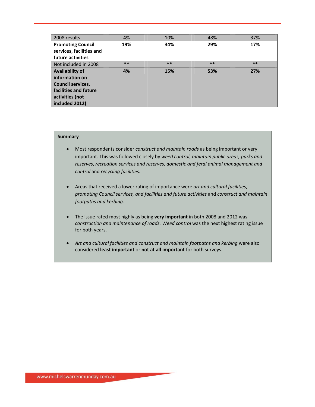| 2008 results                                                                                                                       | 4%    | 10%   | 48%   | 37%   |
|------------------------------------------------------------------------------------------------------------------------------------|-------|-------|-------|-------|
| <b>Promoting Council</b><br>services, facilities and<br>future activities                                                          | 19%   | 34%   | 29%   | 17%   |
| Not included in 2008                                                                                                               | $***$ | $***$ | $***$ | $***$ |
| <b>Availability of</b><br>information on<br><b>Council services,</b><br>facilities and future<br>activities (not<br>included 2012) | 4%    | 15%   | 53%   | 27%   |

- Most respondents consider *construct and maintain roads* as being important or very important. This was followed closely by *weed control*, *maintain public areas, parks and reserves*, *recreation services and reserves*, *domestic and feral animal management and control* and *recycling facilities.*
- Areas that received a lower rating of importance were *art and cultural facilities*, *promoting Council services, and facilities and future activities* and *construct and maintain footpaths and kerbing.*
- The issue rated most highly as being **very important** in both 2008 and 2012 was *construction and maintenance of roads. Weed control* was the next highest rating issue for both years.
- *Art and cultural facilities and construct and maintain footpaths and kerbing* were also considered **least important** or **not at all important** for both surveys.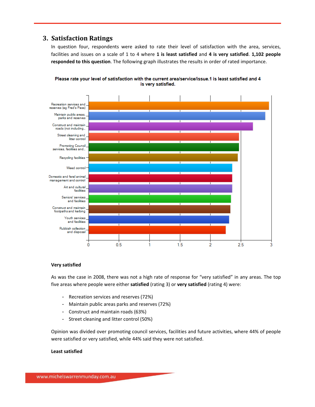## **3. Satisfaction Ratings**

In question four, respondents were asked to rate their level of satisfaction with the area, services, facilities and issues on a scale of 1 to 4 where **1 is least satisfied** and **4 is very satisfied**. **1,102 people responded to this question**. The following graph illustrates the results in order of rated importance.



Please rate your level of satisfaction with the current area/service/issue.1 is least satisfied and 4 is very satisfied.

#### **Very satisfied**

As was the case in 2008, there was not a high rate of response for "very satisfied" in any areas. The top five areas where people were either **satisfied** (rating 3) or **very satisfied** (rating 4) were:

- Recreation services and reserves (72%)
- Maintain public areas parks and reserves (72%)
- Construct and maintain roads (63%)
- Street cleaning and litter control (50%)

Opinion was divided over promoting council services, facilities and future activities, where 44% of people were satisfied or very satisfied, while 44% said they were not satisfied.

#### **Least satisfied**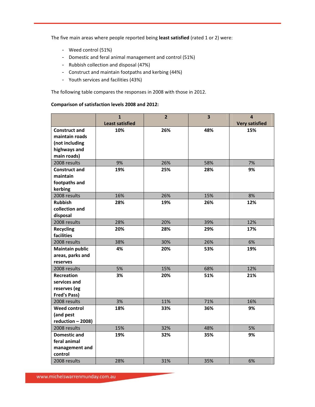The five main areas where people reported being **least satisfied** (rated 1 or 2) were:

- Weed control (51%)
- Domestic and feral animal management and control (51%)
- Rubbish collection and disposal (47%)
- Construct and maintain footpaths and kerbing (44%)
- Youth services and facilities (43%)

The following table compares the responses in 2008 with those in 2012.

#### **Comparison of satisfaction levels 2008 and 2012:**

|                        | $\mathbf{1}$           | $\overline{2}$ | $\overline{\mathbf{3}}$ | $\overline{\mathbf{4}}$ |
|------------------------|------------------------|----------------|-------------------------|-------------------------|
|                        | <b>Least satisfied</b> |                |                         | <b>Very satisfied</b>   |
| <b>Construct and</b>   | 10%                    | 26%            | 48%                     | 15%                     |
| maintain roads         |                        |                |                         |                         |
| (not including         |                        |                |                         |                         |
| highways and           |                        |                |                         |                         |
| main roads)            |                        |                |                         |                         |
| 2008 results           | 9%                     | 26%            | 58%                     | 7%                      |
| <b>Construct and</b>   | 19%                    | 25%            | 28%                     | 9%                      |
| maintain               |                        |                |                         |                         |
| footpaths and          |                        |                |                         |                         |
| kerbing                |                        |                |                         |                         |
| 2008 results           | 16%                    | 26%            | 15%                     | 8%                      |
| <b>Rubbish</b>         | 28%                    | 19%            | 26%                     | 12%                     |
| collection and         |                        |                |                         |                         |
| disposal               |                        |                |                         |                         |
| 2008 results           | 28%                    | 20%            | 39%                     | 12%                     |
| <b>Recycling</b>       | 20%                    | 28%            | 29%                     | 17%                     |
| facilities             |                        |                |                         |                         |
| 2008 results           | 38%                    | 30%            | 26%                     | 6%                      |
| <b>Maintain public</b> | 4%                     | 20%            | 53%                     | 19%                     |
| areas, parks and       |                        |                |                         |                         |
| reserves               |                        |                |                         |                         |
| 2008 results           | 5%                     | 15%            | 68%                     | 12%                     |
| <b>Recreation</b>      | 3%                     | 20%            | 51%                     | 21%                     |
| services and           |                        |                |                         |                         |
| reserves (eg           |                        |                |                         |                         |
| <b>Fred's Pass)</b>    |                        |                |                         |                         |
| 2008 results           | 3%                     | 11%            | 71%                     | 16%                     |
| <b>Weed control</b>    | 18%                    | 33%            | 36%                     | 9%                      |
| (and pest              |                        |                |                         |                         |
| reduction - 2008)      |                        |                |                         |                         |
| 2008 results           | 15%                    | 32%            | 48%                     | 5%                      |
| <b>Domestic and</b>    | 19%                    | 32%            | 35%                     | 9%                      |
| feral animal           |                        |                |                         |                         |
| management and         |                        |                |                         |                         |
| control                |                        |                |                         |                         |
| 2008 results           | 28%                    | 31%            | 35%                     | 6%                      |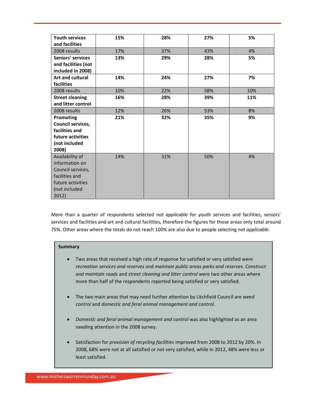| <b>Youth services</b>    | 15% | 28% | 27% | 5%  |
|--------------------------|-----|-----|-----|-----|
| and facilities           |     |     |     |     |
| 2008 results             | 17% | 37% | 43% | 4%  |
| <b>Seniors' services</b> | 13% | 29% | 28% | 5%  |
| and facilities (not      |     |     |     |     |
| included in 2008)        |     |     |     |     |
| <b>Art and cultural</b>  | 14% | 24% | 27% | 7%  |
| facilities               |     |     |     |     |
| 2008 results             | 10% | 22% | 58% | 10% |
| <b>Street cleaning</b>   | 16% | 28% | 39% | 11% |
| and litter control       |     |     |     |     |
| 2008 results             | 12% | 26% | 53% | 8%  |
| Promoting                | 21% | 32% | 35% | 9%  |
| Council services,        |     |     |     |     |
| facilities and           |     |     |     |     |
| future activities        |     |     |     |     |
| (not included            |     |     |     |     |
| 2008)                    |     |     |     |     |
| Availability of          | 14% | 31% | 50% | 4%  |
| information on           |     |     |     |     |
| Council services,        |     |     |     |     |
| facilities and           |     |     |     |     |
| future activities        |     |     |     |     |
| (not included            |     |     |     |     |
| 2012)                    |     |     |     |     |

More than a quarter of respondents selected *not applicable* for youth services and facilities, seniors' services and facilities and art and cultural facilities, therefore the figures for those areas only total around 75%. Other areas where the totals do not reach 100% are also due to people selecting *not applicable*.

- Two areas that received a high rate of response for satisfied or very satisfied were *recreation services and reserves* and *maintain public areas parks and reserves*. *Construct and maintain roads* and *street cleaning and litter control* were two other areas where more than half of the respondents reported being satisfied or very satisfied.
- The two main areas that may need further attention by Litchfield Council are *weed control* and *domestic and feral animal management and control*.
- *Domestic and feral animal management and control* was also highlighted as an area needing attention in the 2008 survey.
- Satisfaction for *provision of recycling facilities* improved from 2008 to 2012 by 20%. In 2008, 68% were not at all satisfied or not very satisfied, while in 2012, 48% were less or least satisfied.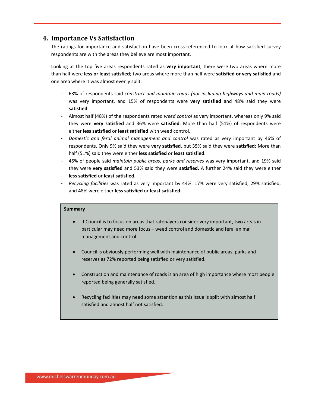## **4. Importance Vs Satisfaction**

The ratings for importance and satisfaction have been cross-referenced to look at how satisfied survey respondents are with the areas they believe are most important.

Looking at the top five areas respondents rated as **very important**, there were two areas where more than half were **less or least satisfied**; two areas where more than half were **satisfied or very satisfied** and one area where it was almost evenly split.

- 63% of respondents said *construct and maintain roads (not including highways and main roads)* was very important, and 15% of respondents were **very satisfied** and 48% said they were **satisfied**.
- Almost half (48%) of the respondents rated *weed control* as very important, whereas only 9% said they were **very satisfied** and 36% were **satisfied**. More than half (51%) of respondents were either **less satisfied** or **least satisfied** with weed control.
- *Domestic and feral animal management and control* was rated as very important by 46% of respondents. Only 9% said they were **very satisfied**, but 35% said they were **satisfied**; More than half (51%) said they were either **less satisfied** or **least satisfied**.
- 45% of people said *maintain public areas, parks and reserves* was very important, and 19% said they were **very satisfied** and 53% said they were **satisfied**. A further 24% said they were either **less satisfied** or **least satisfied.**
- *Recycling facilities* was rated as very important by 44%. 17% were very satisfied, 29% satisfied, and 48% were either **less satisfied** or **least satisfied.**

- If Council is to focus on areas that ratepayers consider very important, two areas in particular may need more focus – weed control and domestic and feral animal management and control.
- Council is obviously performing well with maintenance of public areas, parks and reserves as 72% reported being satisfied or very satisfied.
- Construction and maintenance of roads is an area of high importance where most people reported being generally satisfied.
- Recycling facilities may need some attention as this issue is split with almost half satisfied and almost half not satisfied.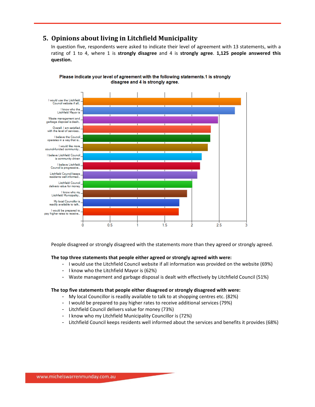## **5. Opinions about living in Litchfield Municipality**

In question five, respondents were asked to indicate their level of agreement with 13 statements, with a rating of 1 to 4, where 1 is **strongly disagree** and 4 is **strongly agree**. **1,125 people answered this question.**



Please indicate your level of agreement with the following statements.1 is strongly disagree and 4 is strongly agree.

People disagreed or strongly disagreed with the statements more than they agreed or strongly agreed.

#### **The top three statements that people either agreed or strongly agreed with were:**

- I would use the Litchfield Council website if all information was provided on the website (69%)
- I know who the Litchfield Mayor is (62%)
- Waste management and garbage disposal is dealt with effectively by Litchfield Council (51%)

#### **The top five statements that people either disagreed or strongly disagreed with were:**

- My local Councillor is readily available to talk to at shopping centres etc. (82%)
- I would be prepared to pay higher rates to receive additional services (79%)
- Litchfield Council delivers value for money (73%)
- I know who my Litchfield Municipality Councillor is (72%)
- Litchfield Council keeps residents well informed about the services and benefits it provides (68%)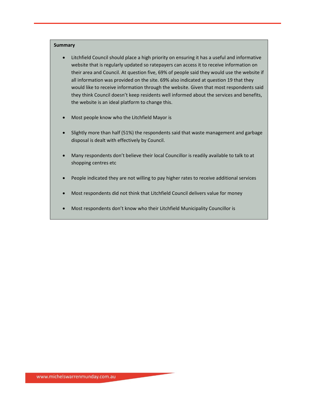- Litchfield Council should place a high priority on ensuring it has a useful and informative website that is regularly updated so ratepayers can access it to receive information on their area and Council. At question five, 69% of people said they would use the website if all information was provided on the site. 69% also indicated at question 19 that they would like to receive information through the website. Given that most respondents said they think Council doesn't keep residents well informed about the services and benefits, the website is an ideal platform to change this.
- Most people know who the Litchfield Mayor is
- Slightly more than half (51%) the respondents said that waste management and garbage disposal is dealt with effectively by Council.
- Many respondents don't believe their local Councillor is readily available to talk to at shopping centres etc
- People indicated they are not willing to pay higher rates to receive additional services
- Most respondents did not think that Litchfield Council delivers value for money
- Most respondents don't know who their Litchfield Municipality Councillor is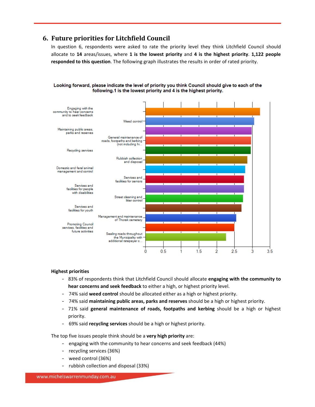## **6. Future priorities for Litchfield Council**

In question 6, respondents were asked to rate the priority level they think Litchfield Council should allocate to **14** areas/issues, where **1 is the lowest priority** and **4 is the highest priority**. **1,122 people responded to this question**. The following graph illustrates the results in order of rated priority.



Looking forward, please indicate the level of priority you think Council should give to each of the following.1 is the lowest priority and 4 is the highest priority.

#### **Highest priorities**

- 83% of respondents think that Litchfield Council should allocate **engaging with the community to hear concerns and seek feedback** to either a high, or highest priority level.
- 74% said **weed control** should be allocated either as a high or highest priority.
- 74% said **maintaining public areas, parks and reserves** should be a high or highest priority.
- 71% said **general maintenance of roads, footpaths and kerbing** should be a high or highest priority.
- 69% said **recycling services** should be a high or highest priority.

The top five issues people think should be a **very high priority** are:

- engaging with the community to hear concerns and seek feedback (44%)
- recycling services (36%)
- weed control (36%)
- rubbish collection and disposal (33%)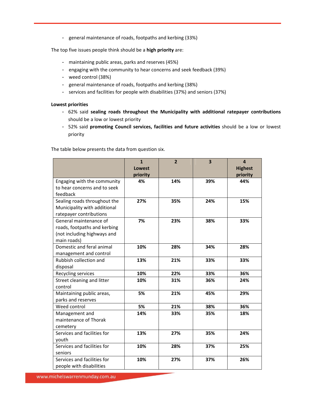- general maintenance of roads, footpaths and kerbing (33%)

The top five issues people think should be a **high priority** are:

- maintaining public areas, parks and reserves (45%)
- engaging with the community to hear concerns and seek feedback (39%)
- weed control (38%)
- general maintenance of roads, footpaths and kerbing (38%)
- services and facilities for people with disabilities (37%) and seniors (37%)

#### **Lowest priorities**

- 62% said **sealing roads throughout the Municipality with additional ratepayer contributions** should be a low or lowest priority
- 52% said **promoting Council services, facilities and future activities** should be a low or lowest priority

The table below presents the data from question six.

|                                                                                                      | $\mathbf{1}$<br><b>Lowest</b><br>priority | $\overline{2}$ | $\overline{\mathbf{3}}$ | $\overline{\mathbf{4}}$<br><b>Highest</b><br>priority |
|------------------------------------------------------------------------------------------------------|-------------------------------------------|----------------|-------------------------|-------------------------------------------------------|
| Engaging with the community<br>to hear concerns and to seek<br>feedback                              | 4%                                        | 14%            | 39%                     | 44%                                                   |
| Sealing roads throughout the<br>Municipality with additional<br>ratepayer contributions              | 27%                                       | 35%            | 24%                     | 15%                                                   |
| General maintenance of<br>roads, footpaths and kerbing<br>(not including highways and<br>main roads) | 7%                                        | 23%            | 38%                     | 33%                                                   |
| Domestic and feral animal<br>management and control                                                  | 10%                                       | 28%            | 34%                     | 28%                                                   |
| Rubbish collection and<br>disposal                                                                   | 13%                                       | 21%            | 33%                     | 33%                                                   |
| Recycling services                                                                                   | 10%                                       | 22%            | 33%                     | 36%                                                   |
| Street cleaning and litter<br>control                                                                | 10%                                       | 31%            | 36%                     | 24%                                                   |
| Maintaining public areas,<br>parks and reserves                                                      | 5%                                        | 21%            | 45%                     | 29%                                                   |
| Weed control                                                                                         | 5%                                        | 21%            | 38%                     | 36%                                                   |
| Management and<br>maintenance of Thorak<br>cemetery                                                  | 14%                                       | 33%            | 35%                     | 18%                                                   |
| Services and facilities for<br>vouth                                                                 | 13%                                       | 27%            | 35%                     | 24%                                                   |
| Services and facilities for<br>seniors                                                               | 10%                                       | 28%            | 37%                     | 25%                                                   |
| Services and facilities for<br>people with disabilities                                              | 10%                                       | 27%            | 37%                     | 26%                                                   |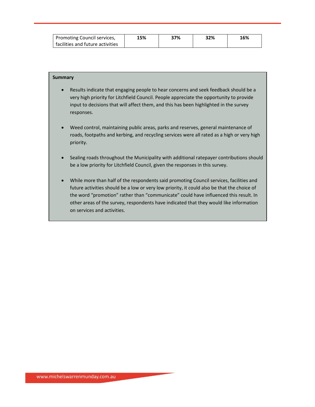| Promoting Council services,      | 15% | 37% | 32% | 16% |
|----------------------------------|-----|-----|-----|-----|
| facilities and future activities |     |     |     |     |

- Results indicate that engaging people to hear concerns and seek feedback should be a very high priority for Litchfield Council. People appreciate the opportunity to provide input to decisions that will affect them, and this has been highlighted in the survey responses.
- Weed control, maintaining public areas, parks and reserves, general maintenance of roads, footpaths and kerbing, and recycling services were all rated as a high or very high priority.
- Sealing roads throughout the Municipality with additional ratepayer contributions should be a low priority for Litchfield Council, given the responses in this survey.
- While more than half of the respondents said promoting Council services, facilities and future activities should be a low or very low priority, it could also be that the choice of the word "promotion" rather than "communicate" could have influenced this result. In other areas of the survey, respondents have indicated that they would like information on services and activities.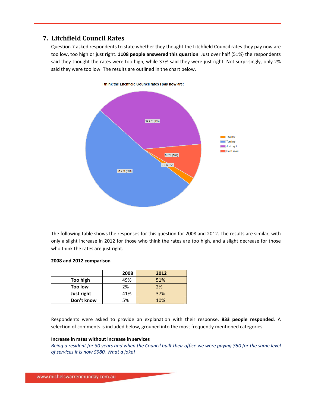## **7. Litchfield Council Rates**

Question 7 asked respondents to state whether they thought the Litchfield Council rates they pay now are too low, too high or just right. **1108 people answered this question**. Just over half (51%) the respondents said they thought the rates were too high, while 37% said they were just right. Not surprisingly, only 2% said they were too low. The results are outlined in the chart below.



The following table shows the responses for this question for 2008 and 2012. The results are similar, with only a slight increase in 2012 for those who think the rates are too high, and a slight decrease for those who think the rates are just right.

#### **2008 and 2012 comparison**

|            | 2008 | 2012 |
|------------|------|------|
| Too high   | 49%  | 51%  |
| Too low    | 2%   | 2%   |
| Just right | 41%  | 37%  |
| Don't know | 5%   | 10%  |

Respondents were asked to provide an explanation with their response. **833 people responded**. A selection of comments is included below, grouped into the most frequently mentioned categories.

#### **Increase in rates without increase in services**

Being a resident for 30 years and when the Council built their office we were paying \$50 for the same level *of services it is now \$980. What a joke!*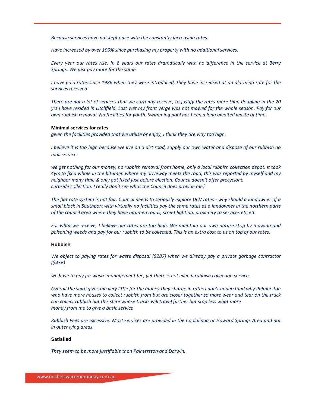*Because services have not kept pace with the constantly increasing rates.*

*Have increased by over 100% since purchasing my property with no additional services.*

Every year our rates rise. In 8 years our rates dramatically with no difference in the service at Berry *Springs. We just pay more for the same*

I have paid rates since 1986 when they were introduced, they have increased at an alarming rate for the *services received*

There are not a lot of services that we currently receive, to justify the rates more than doubling in the 20 yrs i have resided in Litchfield. Last wet my front verge was not mowed for the whole season. Pay for our *own rubbish removal. No facilities for youth. Swimming pool has been a long awaited waste of time.*

#### **Minimal services for rates**

*given the facilities provided that we utilise or enjoy, I think they are way too high.*

I believe it is too high because we live on a dirt road, supply our own water and dispose of our rubbish no *mail service*

we get nothing for our money, no rubbish removal from home, only a local rubbish collection depot. It took 4yrs to fix a whole in the bitumen where my driveway meets the road, this was reported by myself and my *neighbor many time & only got fixed just before election. Council doesn't offer precyclone curbside collection. I really don't see what the Council does provide me?*

The flat rate system is not fair. Council needs to seriously explore UCV rates - why should a landowner of a small block in Southport with virtually no facilities pay the same rates as a landowner in the northern parts *of the council area where they have bitumen roads, street lighting, proximity to services etc etc*

For what we receive, I believe our rates are too high. We maintain our own nature strip by mowing and poisoning weeds and pay for our rubbish to be collected. This is an extra cost to us on top of our rates.

#### **Rubbish**

*We object to paying rates for waste disposal (\$287) when we already pay a private garbage contractor (\$456)*

*we have to pay for waste management fee, yet there is not even a rubbish collection service*

Overall the shire gives me very little for the money they charge in rates I don't understand why Palmerston who have more houses to collect rubbish from but are closer together so more wear and tear on the truck *can collect rubbish but this shire whose trucks will travel further but stop less what more money from me to give a basic service*

*Rubbish Fees are excessive. Most services are provided in the Coolalinga or Howard Springs Area and not in outer lying areas*

#### **Satisfied**

*They seem to be more justifiable than Palmerston and Darwin.*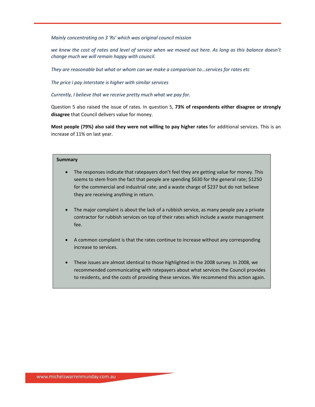*Mainly concentrating on 3 'Rs' which was original council mission*

we knew the cost of rates and level of service when we moved out here. As long as this balance doesn't *change much we will remain happy with council.*

*They are reasonable but what or whom can we make a comparison to...services for rates etc*

*The price i pay interstate is higher with similar services*

*Currently, I believe that we receive pretty much what we pay for.*

Question 5 also raised the issue of rates. In question 5, **73% of respondents either disagree or strongly disagree** that Council delivers value for money.

**Most people (79%) also said they were not willing to pay higher rates** for additional services. This is an increase of 11% on last year.

- The responses indicate that ratepayers don't feel they are getting value for money. This seems to stem from the fact that people are spending \$630 for the general rate; \$1250 for the commercial and industrial rate; and a waste charge of \$237 but do not believe they are receiving anything in return.
- The major complaint is about the lack of a rubbish service, as many people pay a private contractor for rubbish services on top of their rates which include a waste management fee.
- A common complaint is that the rates continue to increase without any corresponding increase to services.
- These issues are almost identical to those highlighted in the 2008 survey. In 2008, we recommended communicating with ratepayers about what services the Council provides to residents, and the costs of providing these services. We recommend this action again.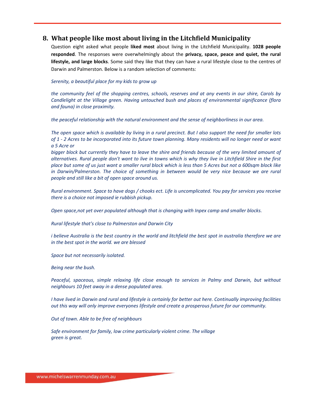## **8. What people like most about living in the Litchfield Municipality**

Question eight asked what people **liked most** about living in the Litchfield Municipality. **1028 people responded**. The responses were overwhelmingly about the **privacy, space, peace and quiet, the rural lifestyle, and large blocks**. Some said they like that they can have a rural lifestyle close to the centres of Darwin and Palmerston. Below is a random selection of comments:

#### *Serenity, a beautiful place for my kids to grow up*

the community feel of the shopping centres, schools, reserves and at any events in our shire, Carols by *Candlelight at the Village green. Having untouched bush and places of environmental significance (flora and fauna) in close proximity.*

*the peaceful relationship with the natural environment and the sense of neighborliness in our area.*

The open space which is available by living in a rural precinct. But I also support the need for smaller lots of 1 - 2 Acres to be incorporated into its future town planning. Many residents will no longer need or want *a 5 Acre or*

bigger block but currently they have to leave the shire and friends because of the very limited amount of alternatives. Rural people don't want to live in towns which is why they live in Litchfield Shire in the first place but some of us just want a smaller rural block which is less than 5 Acres but not a 600sqm block like *in Darwin/Palmerston. The choice of something in between would be very nice because we are rural people and still like a bit of open space around us.*

Rural environment. Space to have dogs / chooks ect. Life is uncomplicated. You pay for services you receive *there is a choice not imposed ie rubbish pickup.*

*Open space,not yet over populated although that is changing with Inpex camp and smaller blocks.*

*Rural lifestyle that's close to Palmerston and Darwin City*

i believe Australia is the best country in the world and litchfield the best spot in australia therefore we are *in the best spot in the world. we are blessed*

*Space but not necessarily isolated.*

*Being near the bush.*

*Peaceful, spaceous, simple relaxing life close enough to services in Palmy and Darwin, but without neighbours 10 feet away in a dense populated area.*

I have lived in Darwin and rural and lifestyle is certainly for better out here. Continually improving facilities *out this way will only improve everyones lifestyle and create a prosperous future for our community.*

*Out of town. Able to be free of neighbours*

*Safe environment for family, low crime particularly violent crime. The village green is great.*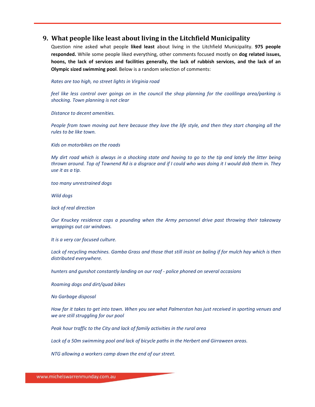## **9. What people like least about living in the Litchfield Municipality**

Question nine asked what people **liked least** about living in the Litchfield Municipality. **975 people responded.** While some people liked everything, other comments focused mostly on **dog related issues,** hoons, the lack of services and facilities generally, the lack of rubbish services, and the lack of an **Olympic sized swimming pool**. Below is a random selection of comments:

*Rates are too high, no street lights in Virginia road*

feel like less control over goings on in the council the shop planning for the coolilinga area/parking is *shocking. Town planning is not clear*

*Distance to decent amenities.*

People from town moving out here because they love the life style, and then they start changing all the *rules to be like town.*

*Kids on motorbikes on the roads*

My dirt road which is always in a shocking state and having to go to the tip and lately the litter being thrown around. Top of Townend Rd is a disgrace and if I could who was doing it I would dob them in. They *use it as a tip.*

*too many unrestrained dogs*

*Wild dogs*

*lack of real direction*

*Our Knuckey residence cops a pounding when the Army personnel drive past throwing their takeaway wrappings out car windows.*

*It is a very car focused culture.*

Lack of recycling machines. Gamba Grass and those that still insist on baling if for mulch hay which is then *distributed everywhere.*

*hunters and gunshot constantly landing on our roof ‐ police phoned on several occasions*

*Roaming dogs and dirt/quad bikes*

*No Garbage disposal*

How far it takes to get into town. When you see what Palmerston has just received in sporting venues and *we are still struggling for our pool*

*Peak hour traffic to the City and lack of family activities in the rural area*

*Lack of a 50m swimming pool and lack of bicycle paths in the Herbert and Girraween areas.*

*NTG allowing a workers camp down the end of our street.*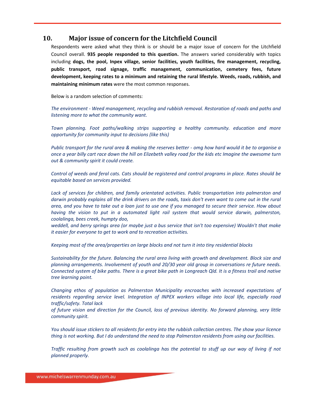## **10. Major issue of concern for the Litchfield Council**

Respondents were asked what they think is or should be a major issue of concern for the Litchfield Council overall. **935 people responded to this question.** The answers varied considerably with topics including **dogs, the pool, Inpex village, senior facilities, youth facilities, fire management, recycling, public transport, road signage, traffic management, communication, cemetery fees, future development, keeping rates to a minimum and retaining the rural lifestyle. Weeds, roads, rubbish, and maintaining minimum rates** were the most common responses.

Below is a random selection of comments:

*The environment ‐ Weed management, recycling and rubbish removal. Restoration of roads and paths and listening more to what the community want.*

*Town planning. Foot paths/walking strips supporting a healthy community. education and more opportunity for community input to decisions (like this)*

Public transport for the rural area & making the reserves better - omg how hard would it be to organise a once a year billy cart race down the hill on Elizebeth valley road for the kids etc Imagine the awesome turn *out & community spirit it could create.*

Control of weeds and feral cats. Cats should be registered and control programs in place. Rates should be *equitable based on services provided.*

*Lack of services for children, and family orientated activities. Public transportation into palmerston and* darwin probably explains all the drink drivers on the roads, taxis don't even want to come out in the rural area, and you have to take out a loan just to use one if you managed to secure their service. How about *having the vision to put in a automated light rail system that would service darwin, palmerston, coolalinga, bees creek, humpty doo,*

weddell, and berry springs area (or maybe just a bus service that isn't too expensive) Wouldn't that make *it easier for everyone to get to work and to recreation activities.*

*Keeping most of the area/properties on large blocks and not turn it into tiny residential blocks*

*Sustainability for the future. Balancing the rural area living with growth and development. Block size and planning arrangements. Involvement of youth and 20/30 year old group in conversations re future needs.* Connected system of bike paths. There is a great bike path in Longreach Qld. It is a fitness trail and native *tree learning point.*

*Changing ethos of population as Palmerston Municipality encroaches with increased expectations of residents regarding service level. Integration of INPEX workers village into local life, especially road traffic/safety. Total lack*

of future vision and direction for the Council, loss of previous identity. No forward planning, very little *community spirit.*

You should issue stickers to all residents for entry into the rubbish collection centres. The show your licence thing is not working. But I do understand the need to stop Palmerston residents from using our facilities.

Traffic resulting from growth such as coolalinga has the potential to stuff up our way of living if not *planned properly.*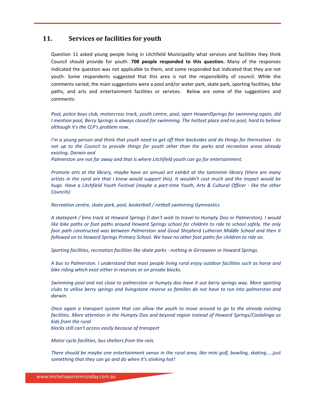## **11. Services or facilities for youth**

Question 11 asked young people living in Litchfield Municipality what services and facilities they think Council should provide for youth. **708 people responded to this question.** Many of the responses indicated the question was not applicable to them, and some responded but indicated that they are not youth. Some respondents suggested that this area is not the responsibility of council. While the comments varied, the main suggestions were a pool and/or water park, skate park, sporting facilities, bike paths, and arts and entertainment facilities or services. Below are some of the suggestions and comments:

*Pool, police boys club, motorcross track, youth centre, pool, open HowardSprings for swimming again, did* I mention pool, Berry Springs is always closed for swimming. The hottest place and no pool, hard to believe *although it's the CLP's problem now.*

I'm a young person and think that youth need to get off their backsides and do things for themselves - its not up to the Council to provide things for youth other than the parks and recreation areas already *existing. Darwin and*

*Palmerston are not far away and that is where Litchfield youth can go for entertainment.*

Promote arts at the library, maybe have an annual art exhibit at the taminmin library (there are many artists in the rural are that i know would support this). It wouldn't cost much and the impact would be huge. Have a Litchfield Youth Festival (maybe a part-time Youth, Arts & Cultural Officer - like the other *Councils)*

*Recreation centre, skate park, pool, basketball / netball swimming Gymnastics*

A skatepark / bmx track at Howard Springs (I don't wish to travel to Humpty Doo or Palmerston). I would like bike paths or foot paths around Howard Springs school for children to ride to school safely. the only *foot path constructed was between Palmerston and Good Shepherd Lutheran Middle School and then it followed on to Howard Springs Primary School. We have no other foot paths for children to ride on.*

*Sporting facilities, recreation facilities like skate parks ‐ nothing in Girraween or Howard Springs.*

A bus to Palmerston. I understand that most people living rural enjoy outdoor facilities such as horse and *bike riding which exist either in reserves or on private blocks.*

Swimming pool and not close to palmerston or humpty doo have it out berry springs way. More sporting clubs to utilise berry springs and livingstone reserve so families do not have to run into palmerston and *darwin.*

Once again a transport system that can allow the youth to move around to go to the already existing *facilities. More attention in the Humpty Doo and beyond region instead of Howard Springs/Coolalinga as kids from the rural*

*blocks still can't access easily because of transport*

*Motor cycle facilities, bus shelters from the rain,*

*There should be maybe one entertainment venue in the rural area, like mini golf, bowling, skating.....just something that they can go and do when it's stinking hot!*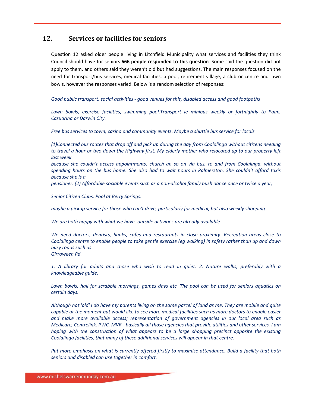## **12. Services or facilities for seniors**

Question 12 asked older people living in Litchfield Municipality what services and facilities they think Council should have for seniors.**666 people responded to this question**. Some said the question did not apply to them, and others said they weren't old but had suggestions. The main responses focused on the need for transport/bus services, medical facilities, a pool, retirement village, a club or centre and lawn bowls, however the responses varied. Below is a random selection of responses:

*Good public transport, social activities ‐ good venues for this, disabled access and good footpaths*

*Lawn bowls, exercise facilities, swimming pool.Transport ie minibus weekly or fortnightly to Palm, Casuarina or Darwin City.*

*Free bus services to town, casino and community events. Maybe a shuttle bus service for locals*

*(1)Connected bus routes that drop off and pick up during the day from Coolalinga without citizens needing* to travel a hour or two down the Highway first. My elderly mother who relocated up to our property left *last week*

*because she couldn't access appointments, church an so on via bus, to and from Coolalinga, without* spending hours on the bus home. She also had to wait hours in Palmerston. She couldn't afford taxis *because she is a*

pensioner. (2) Affordable sociable events such as a non-alcohol family bush dance once or twice a year;

*Senior Citizen Clubs. Pool at Berry Springs.*

*maybe a pickup service for those who can't drive, particularly for medical, but also weekly shopping.*

*We are both happy with what we have‐ outside activities are already available.*

*We need doctors, dentists, banks, cafes and restaurants in close proximity. Recreation areas close to* Coolalinga centre to enable people to take gentle exercise (eq walking) in safety rather than up and down *busy roads such as Girraween Rd.*

1. A library for adults and those who wish to read in quiet. 2. Nature walks, preferably with a *knowledgeable guide.*

Lawn bowls, hall for scrabble mornings, games days etc. The pool can be used for seniors aquatics on *certain days.*

Although not 'old' I do have my parents living on the same parcel of land as me. They are mobile and quite capable at the moment but would like to see more medical facilities such as more doctors to enable easier *and make more available access; representation of government agencies in our local area such as* Medicare, Centrelink, PWC, MVR - basically all those agencies that provide utilities and other services. I am *hoping with the construction of what appears to be a large shopping precinct opposite the existing Coolalinga facilities, that many of these additional services will appear in that centre.*

*Put more emphasis on what is currently offered firstly to maximise attendance. Build a facility that both seniors and disabled can use together in comfort.*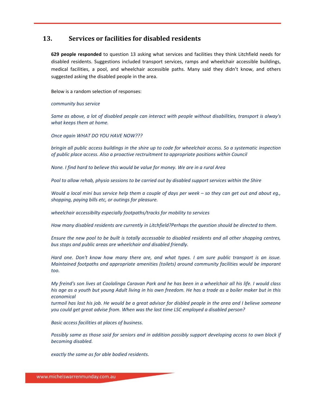## **13. Services or facilities for disabled residents**

**629 people responded** to question 13 asking what services and facilities they think Litchfield needs for disabled residents. Suggestions included transport services, ramps and wheelchair accessible buildings, medical facilities, a pool, and wheelchair accessible paths. Many said they didn't know, and others suggested asking the disabled people in the area.

Below is a random selection of responses:

#### *community bus service*

Same as above, a lot of disabled people can interact with people without disabilities, transport is alway's *what keeps them at home.*

*Once again WHAT DO YOU HAVE NOW???*

bringin all public access buildings in the shire up to code for wheelchair access. So a systematic inspection *of public place access. Also a proactive rectruitment to appropriate positions within Council*

*None. I find hard to believe this would be value for money. We are in a rural Area*

*Pool to allow rehab, physio sessions to be carried out by disabled support services within the Shire*

Would a local mini bus service help them a couple of days per week  $-$  so they can get out and about eq., *shopping, paying bills etc, or outings for pleasure.*

*wheelchair accessibilty especially footpaths/tracks for mobility to services*

*How many disabled residents are currently in Litchfield?Perhaps the question should be directed to them.*

Ensure the new pool to be built is totally accessable to disabled residents and all other shopping centres, *bus stops and public areas are wheelchair and disabled friendly.*

Hard one. Don't know how many there are, and what types. I am sure public transport is an issue. *Maintained footpaths and appropriate amenities (toilets) around community facilities would be imporant too.*

My freind's son lives at Coolalinga Caravan Park and he has been in a wheelchair all his life. I would class his age as a youth but young Adult living in his own freedom. He has a trade as a boiler maker but in this *economical*

turmoil has lost his job. He would be a great advisor for disbled people in the area and I believe someone *you could get great advise from. When was the last time LSC employed a disabled person?*

*Basic access facilities at places of business.*

Possibly same as those said for seniors and in addition possibly support developing access to own block if *becoming disabled.*

*exactly the same as for able bodied residents.*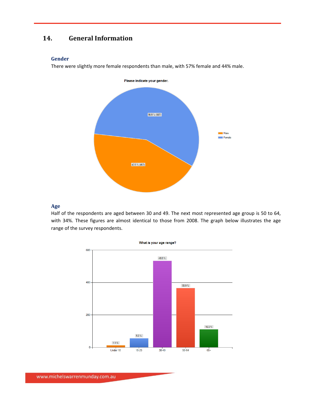## **14. General Information**

#### **Gender**

There were slightly more female respondents than male, with 57% female and 44% male.



#### **Age**

Half of the respondents are aged between 30 and 49. The next most represented age group is 50 to 64, with 34%. These figures are almost identical to those from 2008. The graph below illustrates the age range of the survey respondents.

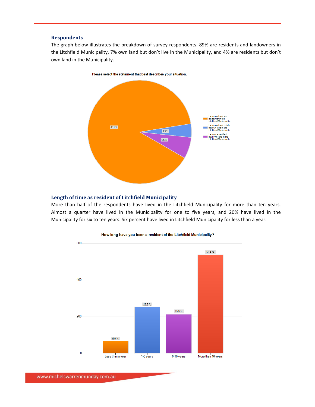#### **Respondents**

The graph below illustrates the breakdown of survey respondents. 89% are residents and landowners in the Litchfield Municipality, 7% own land but don't live in the Municipality, and 4% are residents but don't own land in the Municipality.



**Length of time as resident of Litchfield Municipality**

More than half of the respondents have lived in the Litchfield Municipality for more than ten years. Almost a quarter have lived in the Municipality for one to five years, and 20% have lived in the Municipality for six to ten years. Six percent have lived in Litchfield Municipality for less than a year.



#### How long have you been a resident of the Litchfield Municipality?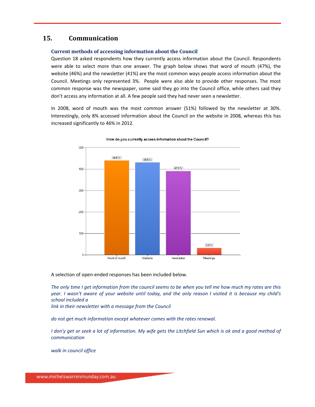## **15. Communication**

#### **Current methods of accessing information about the Council**

Question 18 asked respondents how they currently access information about the Council. Respondents were able to select more than one answer. The graph below shows that word of mouth (47%), the website (46%) and the newsletter (41%) are the most common ways people access information about the Council. Meetings only represented 3%. People were also able to provide other responses. The most common response was the newspaper, some said they go into the Council office, while others said they don't access any information at all. A few people said they had never seen a newsletter.

In 2008, word of mouth was the most common answer (51%) followed by the newsletter at 30%. Interestingly, only 8% accessed information about the Council on the website in 2008, whereas this has increased significantly to 46% in 2012.



How do you currently access information about the Council?

A selection of open‐ended responses has been included below.

The only time I get information from the council seems to be when you tell me how much my rates are this year. I wasn't aware of your website until today, and the only reason I visited it is because my child's *school included a*

*link in their newsletter with a message from the Council*

*do not get much information except whatever comes with the rates renewal.*

I don'y get or seek a lot of information. My wife gets the Litchfield Sun which is ok and a good method of *communication*

*walk in council office*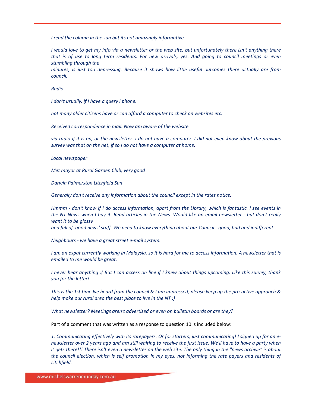*I read the column in the sun but its not amazingly informative*

I would love to get my info via a newsletter or the web site, but unfortunately there isn't anything there that is of use to long term residents. For new arrivals, yes. And going to council meetings or even *stumbling through the*

*minutes, is just too depressing. Because it shows how little useful outcomes there actually are from council.*

*Radio*

*I don't usually. if I have a query I phone.*

*not many older citizens have or can afford a computer to check on websites etc.*

*Received correspondence in mail. Now am aware of the website.*

via radio if it is on, or the newsletter. I do not have a computer. I did not even know about the previous *survey was that on the net, if so I do not have a computer at home.*

*Local newspaper*

*Met mayor at Rural Garden Club, very good*

*Darwin Palmerston Litchfield Sun*

*Generally don't receive any information about the council except in the rates notice.*

Hmmm - don't know if I do access information, apart from the Library, which is fantastic. I see events in the NT News when I buy it. Read articles in the News. Would like an email newsletter - but don't really *want it to be glossy*

and full of 'good news' stuff. We need to know everything about our Council - good, bad and indifferent

*Neighbours ‐ we have a great street e‐mail system.*

I am an expat currently working in Malaysia, so it is hard for me to access information. A newsletter that is *emailed to me would be great.*

I never hear anything :( But I can access on line if I knew about things upcoming. Like this survey, thank *you for the letter!*

This is the 1st time Ive heard from the council & I am impressed, please keep up the pro-active approach & *help make our rural area the best place to live in the NT ;)*

*What newsletter? Meetings aren't advertised or even on bulletin boards or are they?*

Part of a comment that was written as a response to question 10 is included below:

1. Communicating effectively with its ratepayers. Or for starters, just communicating! I signed up for an enewsletter over 2 years ago and am still waiting to receive the first issue. We'll have to have a party when it gets there!!! There isn't even a newsletter on the web site. The only thing in the "news archive" is about the council election, which is self promotion in my eyes, not informing the rate payers and residents of *Litchfield.*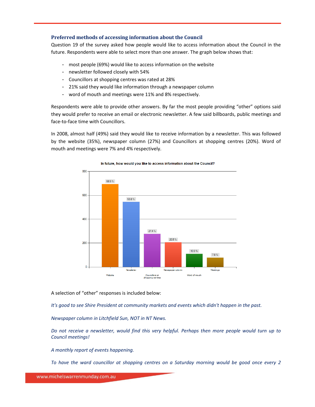#### **Preferred methods of accessing information about the Council**

Question 19 of the survey asked how people would like to access information about the Council in the future. Respondents were able to select more than one answer. The graph below shows that:

- most people (69%) would like to access information on the website
- newsletter followed closely with 54%
- Councillors at shopping centres was rated at 28%
- 21% said they would like information through a newspaper column
- word of mouth and meetings were 11% and 8% respectively.

Respondents were able to provide other answers. By far the most people providing "other" options said they would prefer to receive an email or electronic newsletter. A few said billboards, public meetings and face‐to‐face time with Councillors.

In 2008, almost half (49%) said they would like to receive information by a newsletter. This was followed by the website (35%), newspaper column (27%) and Councillors at shopping centres (20%). Word of mouth and meetings were 7% and 4% respectively.



#### In future, how would you like to access information about the Council?

A selection of "other" responses is included below:

*It's good to see Shire President at community markets and events which didn't happen in the past.*

*Newspaper column in Litchfield Sun, NOT in NT News.*

Do not receive a newsletter, would find this very helpful. Perhaps then more people would turn up to *Council meetings!*

*A monthly report of events happening.*

*To have the ward councillor at shopping centres on a Saturday morning would be good once every 2*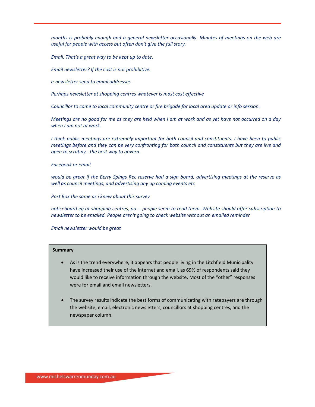*months is probably enough and a general newsletter occasionally. Minutes of meetings on the web are useful for people with access but often don't give the full story.*

*Email. That's a great way to be kept up to date.*

*Email newsletter? If the cost is not prohibitive.*

*e‐newsletter send to email addresses*

*Perhaps newsletter at shopping centres whatever is most cost effective*

*Councillor to come to local community centre or fire brigade for local area update or info session.*

Meetings are no good for me as they are held when I am at work and as yet have not occurred on a day *when I am not at work.*

*I think public meetings are extremely important for both council and constituents. I have been to public* meetings before and they can be very confronting for both council and constituents but they are live and *open to scrutiny ‐ the best way to govern.*

#### *Facebook or email*

would be great if the Berry Spings Rec reserve had a sign board, advertising meetings at the reserve as *well as council meetings, and advertising any up coming events etc*

*Post Box the same as i knew about this survey*

*noticeboard eg at shopping centres, po ‐‐ people seem to read them. Website should offer subscription to newsletter to be emailed. People aren't going to check website without an emailed reminder*

#### *Email newsletter would be great*

- As is the trend everywhere, it appears that people living in the Litchfield Municipality have increased their use of the internet and email, as 69% of respondents said they would like to receive information through the website. Most of the "other" responses were for email and email newsletters.
- The survey results indicate the best forms of communicating with ratepayers are through the website, email, electronic newsletters, councillors at shopping centres, and the newspaper column.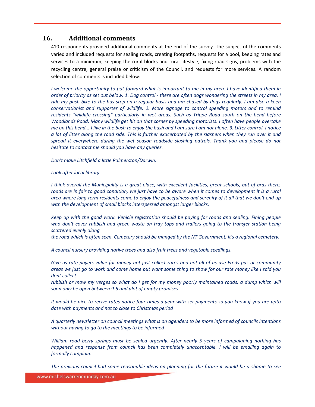## **16. Additional comments**

410 respondents provided additional comments at the end of the survey. The subject of the comments varied and included requests for sealing roads, creating footpaths, requests for a pool, keeping rates and services to a minimum, keeping the rural blocks and rural lifestyle, fixing road signs, problems with the recycling centre, general praise or criticism of the Council, and requests for more services. A random selection of comments is included below:

I welcome the opportunity to put forward what is important to me in my area. I have identified them in order of priority as set out below. 1. Dog control - there are often dogs wondering the streets in my area. I ride my push bike to the bus stop on a regular basis and am chased by dogs regularly. I am also a keen *conservationist and supporter of wildlife. 2. More signage to control speeding motors and to remind residents "wildlife crossing" particularly in wet areas. Such as Trippe Road south on the bend before Woodlands Road. Many wildlife get hit on that corner by speeding motorists. I often have people overtake* me on this bend....I live in the bush to enjoy the bush and I am sure I am not alone. 3. Litter control. I notice a lot of litter along the road side. This is further exacerbated by the slashers when they run over it and *spread it everywhere during the wet season roadside slashing patrols. Thank you and please do not hesitate to contact me should you have any queries.*

*Don't make Litchfield a little Palmerston/Darwin.*

*Look after local library*

I think overall the Municipality is a great place, with excellent facilities, great schools, but of bras there, roads are in fair to good condition, we just have to be aware when it comes to development it is a rural area where long term residents come to enjoy the peacefulness and serenity of it all that we don't end up *with the development of small blocks interspersed amongst larger blocks.*

*Keep up with the good work. Vehicle registration should be paying for roads and sealing. Fining people* who don't cover rubbish and green waste on tray tops and trailers going to the transfer station being *scattered evenly along*

the road which is often seen. Cemetery should be manged by the NT Government, it's a regional cemetery.

*A council nursery providing native trees and also fruit trees and vegetable seedlings.*

Give us rate payers value for money not just collect rates and not all of us use Freds pas or community areas we just go to work and come home but want some thing to show for our rate money like I said you *dont collect*

rubbish or mow my verges so what do I get for my money poorly maintained roads, a dump which will *soon only be open between 9‐5 and alot of empty promises*

It would be nice to recive rates notice four times a year with set payments so you know if you are upto *date with payments and not to close to Christmas period*

*A quarterly newsletter on council meetings what is on agenders to be more informed of councils intentions without having to go to the meetings to be informed*

*William road berry springs must be sealed urgently. After nearly 5 years of campaigning nothing has happened and response from council has been completely unacceptable. I will be emailing again to formally complain.*

The previous council had some reasonable ideas on planning for the future it would be a shame to see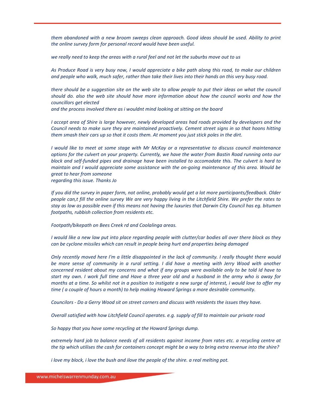*them abandoned with a new broom sweeps clean approach. Good ideas should be used. Ability to print the online survey form for personal record would have been useful.*

we really need to keep the areas with a rural feel and not let the suburbs move out to us

As Produce Road is very busy now, I would appreciate a bike path along this road, to make our children and people who walk, much safer, rather than take their lives into their hands on this very busy road.

there should be a suggestion site on the web site to allow people to put their ideas on what the council *should do. also the web site should have more information about how the council works and how the councillors get elected*

*and the process involved there as i wouldnt mind looking at sitting on the board*

I accept area of Shire is large however, newly developed areas had roads provided by developers and the *Council needs to make sure they are maintained proactively. Cement street signs in so that hoons hitting them smash their cars up so that it costs them. At moment you just stick poles in the dirt.*

I would like to meet at some stage with Mr McKay or a representative to discuss council maintenance options for the culvert on your property. Currently, we have the water from Bastin Road running onto our block and self-funded pipes and drainage have been installed to accomodate this. The culvert is hard to maintain and I would appreciate some assistance with the on-going maintenance of this area. Would be *great to hear from someone regarding this issue. Thanks Jo*

If you did the survey in paper form, not online, probably would get a lot more participants/feedback. Older people can,t fill the online survey We are very happy living in the Litchfield Shire. We prefer the rates to stay as low as possible even if this means not having the luxuries that Darwin City Council has eg. bitumen *footpaths, rubbish collection from residents etc.*

*Footpath/bikepath on Bees Creek rd and Coolalinga areas.*

I would like a new law put into place regarding people with clutter/car bodies all over there block as they *can be cyclone missiles which can result in people being hurt and properties being damaged*

Only recently moved here I'm a little disappointed in the lack of community. I really thought there would be more sense of community in a rural setting. I did have a meeting with Jerry Wood with another concerned resident about my concerns and what if any groups were available only to be told Id have to start my own. I work full time and Have a three year old and a husband in the army who is away for months at a time. So whilst not in a position to instigate a new surge of interest, i would love to offer my *time ( a couple of hours a month) to help making Howard Springs a more desirable community.*

Councilors - Do a Gerry Wood sit on street corners and discuss with residents the issues they have.

*Overall satisfied with how Litchfield Council operates. e.g. supply of fill to maintain our private road*

*So happy that you have some recycling at the Howard Springs dump.*

extremely hard job to balance needs of all residents against income from rates etc. a recycling centre at the tip which utilises the cash for containers concept might be a way to bring extra revenue into the shire?

*i love my block, i love the bush and ilove the people of the shire. a real melting pot.*